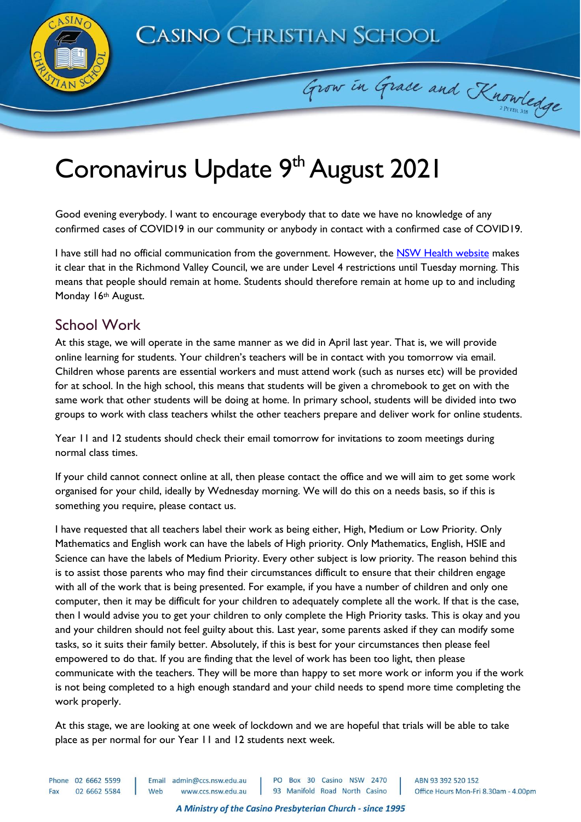**CASINO CHRISTIAN SCHOOL** 

Grow in Grace and Knowledge



## Coronavirus Update 9<sup>th</sup> August 2021

Good evening everybody. I want to encourage everybody that to date we have no knowledge of any confirmed cases of COVID19 in our community or anybody in contact with a confirmed case of COVID19.

I have still had no official communication from the government. However, the [NSW Health website](https://www.health.nsw.gov.au/news/Pages/20210809_02.aspx) makes it clear that in the Richmond Valley Council, we are under Level 4 restrictions until Tuesday morning. This means that people should remain at home. Students should therefore remain at home up to and including Monday 16th August.

## School Work

At this stage, we will operate in the same manner as we did in April last year. That is, we will provide online learning for students. Your children's teachers will be in contact with you tomorrow via email. Children whose parents are essential workers and must attend work (such as nurses etc) will be provided for at school. In the high school, this means that students will be given a chromebook to get on with the same work that other students will be doing at home. In primary school, students will be divided into two groups to work with class teachers whilst the other teachers prepare and deliver work for online students.

Year 11 and 12 students should check their email tomorrow for invitations to zoom meetings during normal class times.

If your child cannot connect online at all, then please contact the office and we will aim to get some work organised for your child, ideally by Wednesday morning. We will do this on a needs basis, so if this is something you require, please contact us.

I have requested that all teachers label their work as being either, High, Medium or Low Priority. Only Mathematics and English work can have the labels of High priority. Only Mathematics, English, HSIE and Science can have the labels of Medium Priority. Every other subject is low priority. The reason behind this is to assist those parents who may find their circumstances difficult to ensure that their children engage with all of the work that is being presented. For example, if you have a number of children and only one computer, then it may be difficult for your children to adequately complete all the work. If that is the case, then I would advise you to get your children to only complete the High Priority tasks. This is okay and you and your children should not feel guilty about this. Last year, some parents asked if they can modify some tasks, so it suits their family better. Absolutely, if this is best for your circumstances then please feel empowered to do that. If you are finding that the level of work has been too light, then please communicate with the teachers. They will be more than happy to set more work or inform you if the work is not being completed to a high enough standard and your child needs to spend more time completing the work properly.

At this stage, we are looking at one week of lockdown and we are hopeful that trials will be able to take place as per normal for our Year 11 and 12 students next week.

Phone 02 6662 5599 Email admin@ccs.nsw.edu.au PO Box 30 Casino NSW 2470 www.ccs.nsw.edu.au 93 Manifold Road North Casino 02 6662 5584 Web Fax

ABN 93 392 520 152 Office Hours Mon-Fri 8.30am - 4.00pm